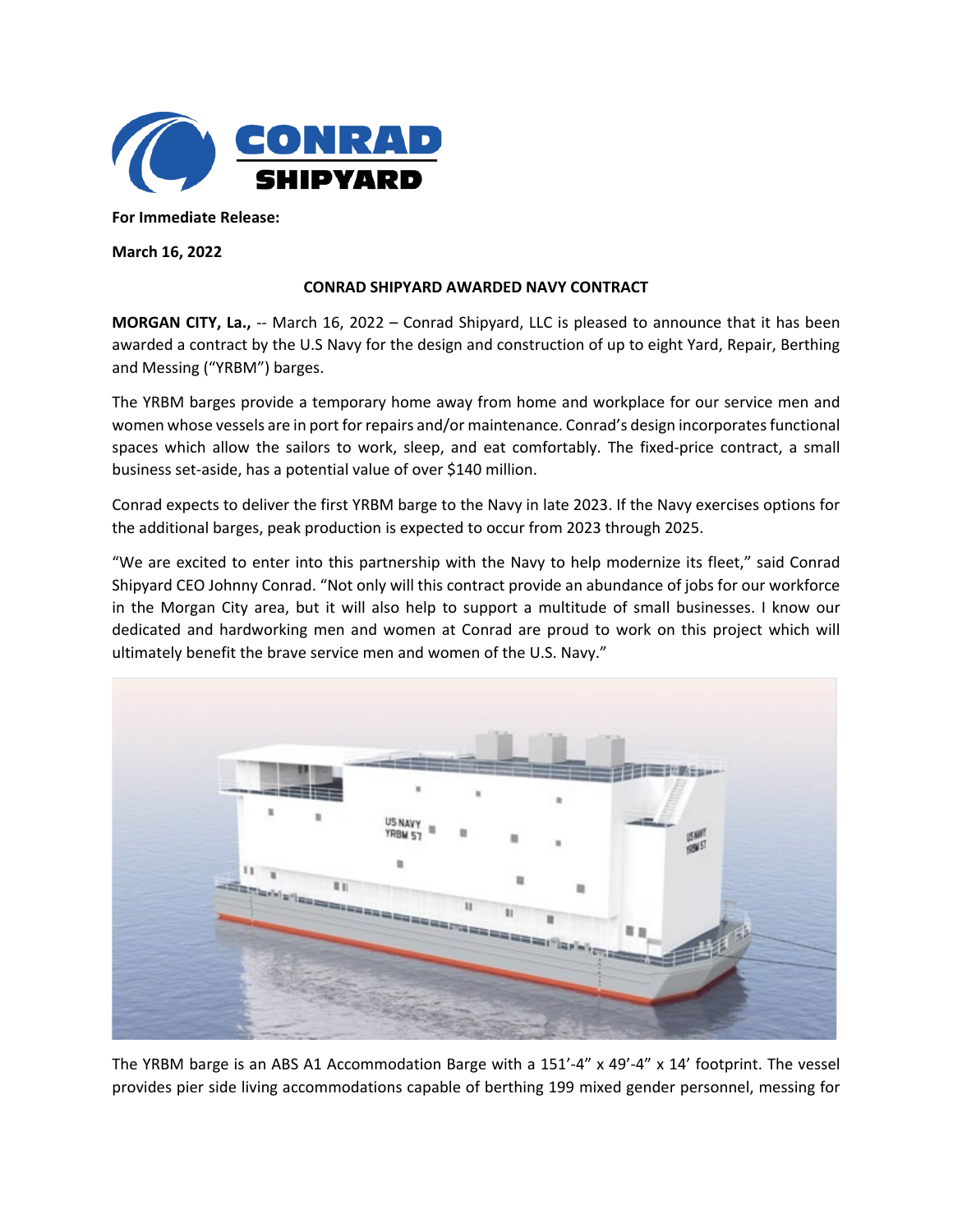

**For Immediate Release:** 

**March 16, 2022**

## **CONRAD SHIPYARD AWARDED NAVY CONTRACT**

**MORGAN CITY, La.,** -- March 16, 2022 – Conrad Shipyard, LLC is pleased to announce that it has been awarded a contract by the U.S Navy for the design and construction of up to eight Yard, Repair, Berthing and Messing ("YRBM") barges.

The YRBM barges provide a temporary home away from home and workplace for our service men and women whose vessels are in port for repairs and/or maintenance. Conrad's design incorporates functional spaces which allow the sailors to work, sleep, and eat comfortably. The fixed-price contract, a small business set-aside, has a potential value of over \$140 million.

Conrad expects to deliver the first YRBM barge to the Navy in late 2023. If the Navy exercises options for the additional barges, peak production is expected to occur from 2023 through 2025.

"We are excited to enter into this partnership with the Navy to help modernize its fleet," said Conrad Shipyard CEO Johnny Conrad. "Not only will this contract provide an abundance of jobs for our workforce in the Morgan City area, but it will also help to support a multitude of small businesses. I know our dedicated and hardworking men and women at Conrad are proud to work on this project which will ultimately benefit the brave service men and women of the U.S. Navy."



The YRBM barge is an ABS A1 Accommodation Barge with a 151'-4" x 49'-4" x 14' footprint. The vessel provides pier side living accommodations capable of berthing 199 mixed gender personnel, messing for